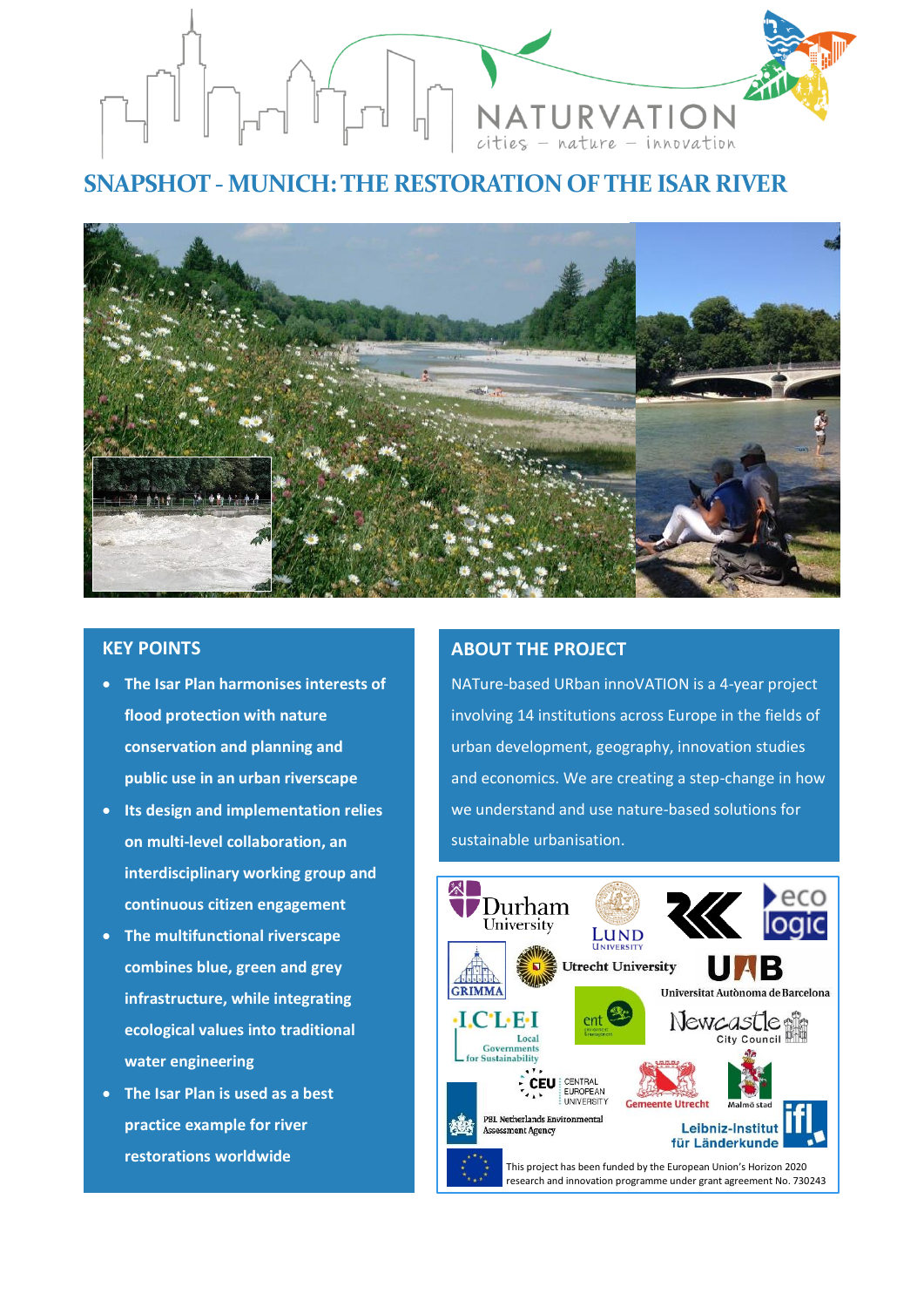

# **SNAPSHOT - MUNICH: THE RESTORATION OF THE ISAR RIVER**



# **KEY POINTS**

- **The Isar Plan harmonises interests of flood protection with nature conservation and planning and public use in an urban riverscape**
- **Its design and implementation relies on multi-level collaboration, an interdisciplinary working group and continuous citizen engagement**
- **The multifunctional riverscape combines blue, green and grey infrastructure, while integrating ecological values into traditional water engineering**
- **The Isar Plan is used as a best practice example for river restorations worldwide**

## **ABOUT THE PROJECT**

NATure-based URban innoVATION is a 4-year project involving 14 institutions across Europe in the fields of urban development, geography, innovation studies and economics. We are creating a step-change in how we understand and use nature-based solutions for sustainable urbanisation.

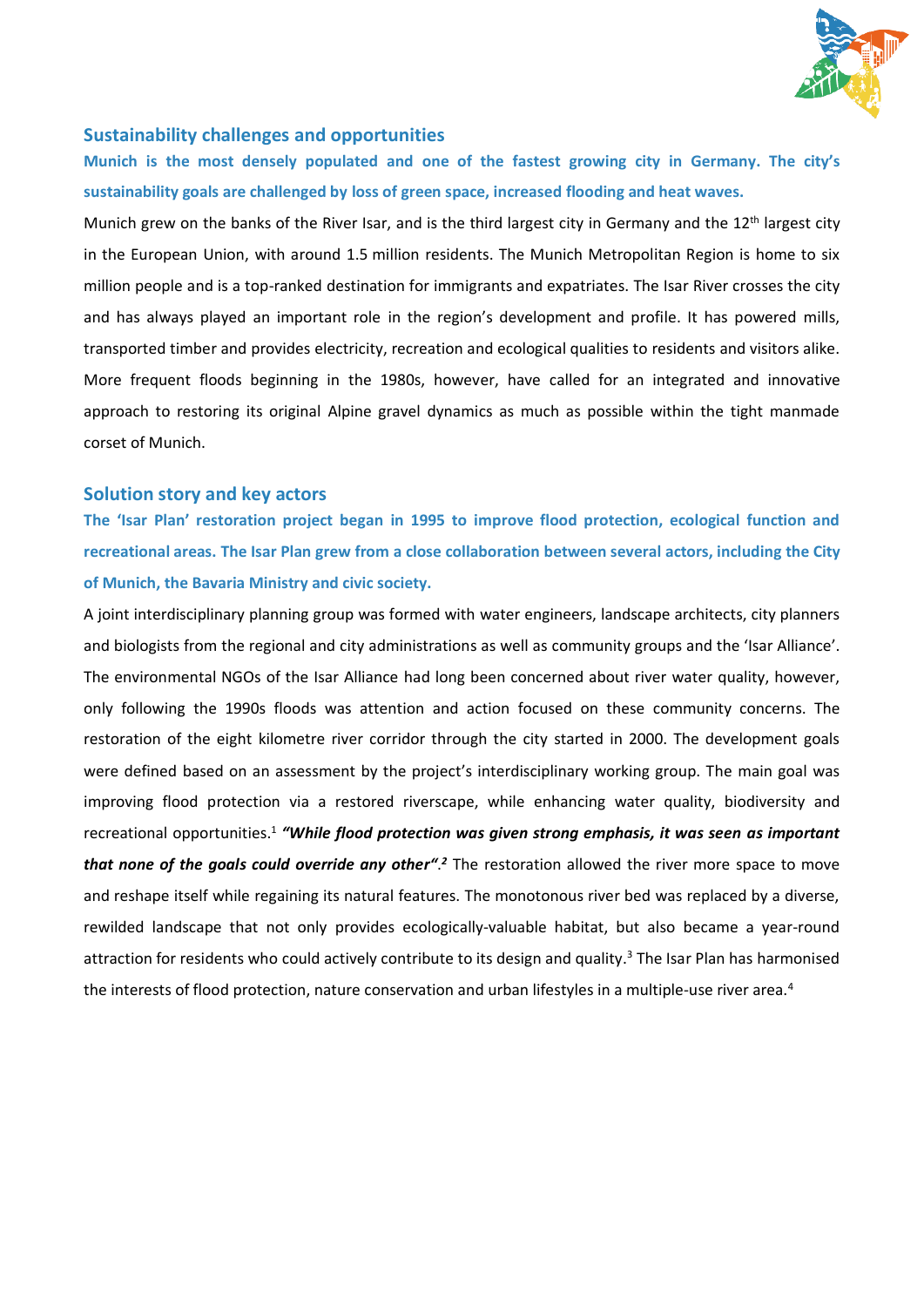

## **Sustainability challenges and opportunities**

**Munich is the most densely populated and one of the fastest growing city in Germany. The city's sustainability goals are challenged by loss of green space, increased flooding and heat waves.**

Munich grew on the banks of the River Isar, and is the [third largest city](https://en.wikipedia.org/wiki/List_of_cities_in_Germany_by_population) in Germany and the 12<sup>th</sup> largest city in the European Union, with around 1.5 million residents. The [Munich Metropolitan Region](https://en.wikipedia.org/wiki/Munich_Metropolitan_Region) is home to six million people and is a top-ranked destination for immigrants and expatriates. The Isar River crosses the city and has always played an important role in the region's development and profile. It has powered mills, transported timber and provides electricity, recreation and ecological qualities to residents and visitors alike. More frequent floods beginning in the 1980s, however, have called for an integrated and innovative approach to restoring its original Alpine gravel dynamics as much as possible within the tight manmade corset of Munich.

#### **Solution story and key actors**

**The 'Isar Plan' restoration project began in 1995 to improve flood protection, ecological function and recreational areas. The Isar Plan grew from a close collaboration between several actors, including the City of Munich, the Bavaria Ministry and civic society.**

A joint interdisciplinary planning group was formed with water engineers, landscape architects, city planners and biologists from the regional and city administrations as well as community groups and the 'Isar Alliance'. The environmental NGOs of the Isar Alliance had long been concerned about river water quality, however, only following the 1990s floods was attention and action focused on these community concerns. The restoration of the eight kilometre river corridor through the city started in 2000. The development goals were defined based on an assessment by the project's interdisciplinary working group. The main goal was improving flood protection via a restored riverscape, while enhancing water quality, biodiversity and recreational opportunities.<sup>1</sup> "While flood protection was given strong emphasis, it was seen as important that none of the goals could override any other<sup>". 2</sup> The restoration allowed the river more space to move and reshape itself while regaining its natural features. The monotonous river bed was replaced by a diverse, rewilded landscape that not only provides ecologically-valuable habitat, but also became a year-round attraction for residents who could actively contribute to its design and quality.<sup>3</sup> The Isar Plan has harmonised the interests of flood protection, nature conservation and urban lifestyles in a multiple-use river area.<sup>4</sup>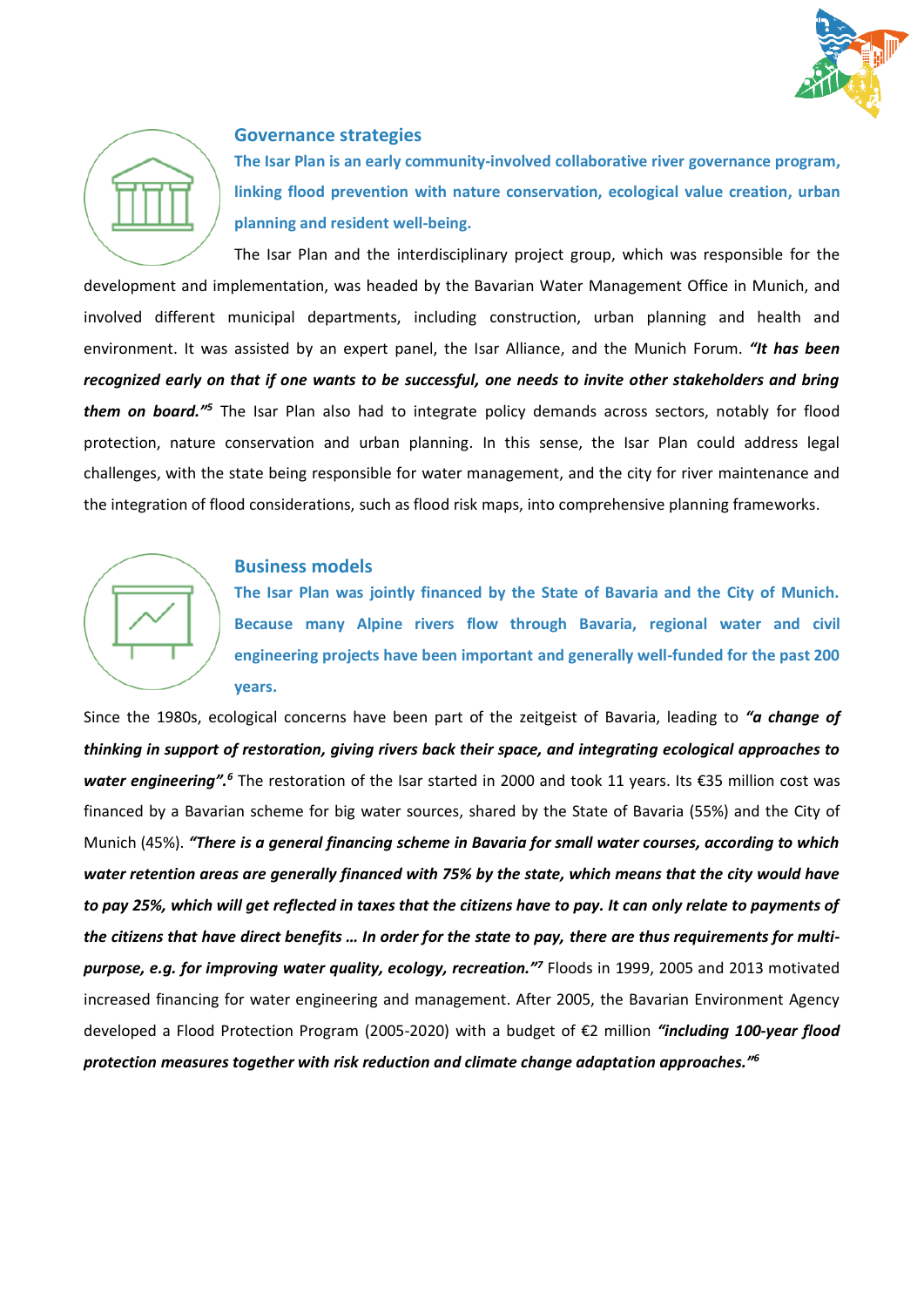



## **Governance strategies**

**The Isar Plan is an early community-involved collaborative river governance program, linking flood prevention with nature conservation, ecological value creation, urban planning and resident well-being.**

The Isar Plan and the interdisciplinary project group, which was responsible for the development and implementation, was headed by the Bavarian Water Management Office in Munich, and involved different municipal departments, including construction, urban planning and health and environment. It was assisted by an expert panel, the Isar Alliance, and the Munich Forum. *"It has been recognized early on that if one wants to be successful, one needs to invite other stakeholders and bring them on board."<sup>5</sup>* The Isar Plan also had to integrate policy demands across sectors, notably for flood protection, nature conservation and urban planning. In this sense, the Isar Plan could address legal challenges, with the state being responsible for water management, and the city for river maintenance and the integration of flood considerations, such as flood risk maps, into comprehensive planning frameworks.

# **Business models**

**The Isar Plan was jointly financed by the State of Bavaria and the City of Munich. Because many Alpine rivers flow through Bavaria, regional water and civil engineering projects have been important and generally well-funded for the past 200 years.** 

Since the 1980s, ecological concerns have been part of the zeitgeist of Bavaria, leading to *"a change of thinking in support of restoration, giving rivers back their space, and integrating ecological approaches to water engineering". <sup>6</sup>* The restoration of the Isar started in 2000 and took 11 years. Its €35 million cost was financed by a Bavarian scheme for big water sources, shared by the State of Bavaria (55%) and the City of Munich (45%). *"There is a general financing scheme in Bavaria for small water courses, according to which water retention areas are generally financed with 75% by the state, which means that the city would have to pay 25%, which will get reflected in taxes that the citizens have to pay. It can only relate to payments of the citizens that have direct benefits … In order for the state to pay, there are thus requirements for multipurpose, e.g. for improving water quality, ecology, recreation."<sup>7</sup>* Floods in 1999, 2005 and 2013 motivated increased financing for water engineering and management. After 2005, the Bavarian Environment Agency developed a Flood Protection Program (2005-2020) with a budget of €2 million *"including 100-year flood protection measures together with risk reduction and climate change adaptation approaches." 6*